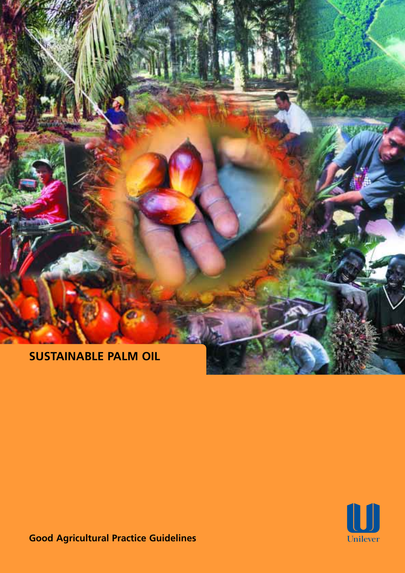



**Good Agricultural Practice Guidelines**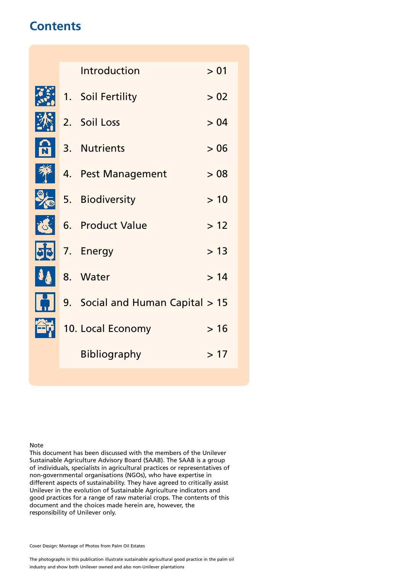# **Contents**

**K** 

E

 $\cdot$ 

ť

Ŀ

Í

É

|  | Introduction                     | > 01  |
|--|----------------------------------|-------|
|  | 1. Soil Fertility                | > 02  |
|  | 2. Soil Loss                     | > 04  |
|  | 3. Nutrients                     | >06   |
|  | 4. Pest Management               | > 08  |
|  | 5. Biodiversity                  | >10   |
|  | 6. Product Value                 | $>12$ |
|  | 7. Energy                        | > 13  |
|  | 8. Water                         | >14   |
|  | 9. Social and Human Capital > 15 |       |
|  | 10. Local Economy                | >16   |
|  | <b>Bibliography</b>              | >17   |
|  |                                  |       |

Note

This document has been discussed with the members of the Unilever Sustainable Agriculture Advisory Board (SAAB). The SAAB is a group of individuals, specialists in agricultural practices or representatives of non-governmental organisations (NGOs), who have expertise in different aspects of sustainability. They have agreed to critically assist Unilever in the evolution of Sustainable Agriculture indicators and good practices for a range of raw material crops. The contents of this document and the choices made herein are, however, the responsibility of Unilever only.

Cover Design: Montage of Photos from Palm Oil Estates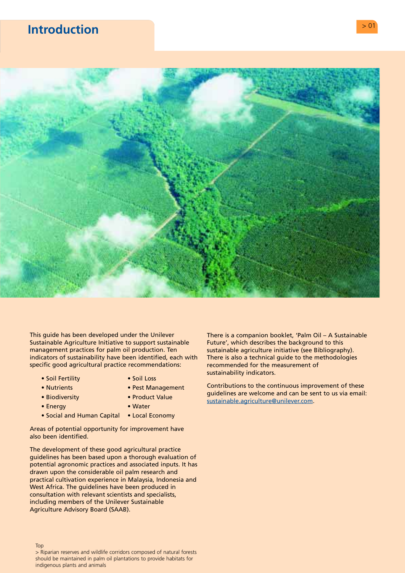# <span id="page-2-0"></span>**Introduction and the contract of the contract of the contract of the contract of the contract of the contract of the contract of the contract of the contract of the contract of the contract of the contract of the contract**



This guide has been developed under the Unilever Sustainable Agriculture Initiative to support sustainable management practices for palm oil production. Ten indicators of sustainability have been identified, each with specific good agricultural practice recommendations:

- Soil Fertility Soil Loss
	-
- 
- Nutrients Pest Management
- Biodiversity Product Value
- Energy  **Water**
- Social and Human Capital Local Economy

Areas of potential opportunity for improvement have also been identified.

The development of these good agricultural practice guidelines has been based upon a thorough evaluation of potential agronomic practices and associated inputs. It has drawn upon the considerable oil palm research and practical cultivation experience in Malaysia, Indonesia and West Africa. The guidelines have been produced in consultation with relevant scientists and specialists, including members of the Unilever Sustainable Agriculture Advisory Board (SAAB).

There is a companion booklet, 'Palm Oil – A Sustainable Future', which describes the background to this sustainable agriculture initiative (see Bibliography). There is also a technical guide to the methodologies recommended for the measurement of sustainability indicators.

Contributions to the continuous improvement of these guidelines are welcome and can be sent to us via email: [sustainable.agriculture@unilever.com.](mailto:sustainable.agriculture@unilever.com) 

> Riparian reserves and wildlife corridors composed of natural forests should be maintained in palm oil plantations to provide habitats for indigenous plants and animals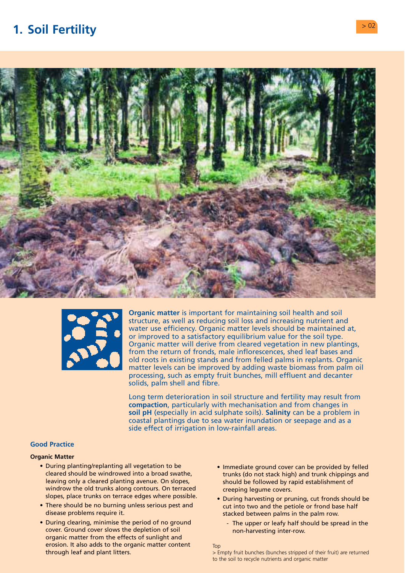# <span id="page-3-0"></span>**1. Soil Fertility**  $> 0.2$





**Organic matter** is important for maintaining soil health and soil structure, as well as reducing soil loss and increasing nutrient and water use efficiency. Organic matter levels should be maintained at, or improved to a satisfactory equilibrium value for the soil type. Organic matter will derive from cleared vegetation in new plantings, from the return of fronds, male inflorescences, shed leaf bases and old roots in existing stands and from felled palms in replants. Organic matter levels can be improved by adding waste biomass from palm oil processing, such as empty fruit bunches, mill effluent and decanter solids, palm shell and fibre.

Long term deterioration in soil structure and fertility may result from **compaction**, particularly with mechanisation and from changes in **soil pH** (especially in acid sulphate soils). **Salinity** can be a problem in coastal plantings due to sea water inundation or seepage and as a side effect of irrigation in low-rainfall areas.

# **Good Practice**

### **Organic Matter**

- During planting/replanting all vegetation to be Immediate ground cover can be provided by felled windrow the old trunks along contours. On terraced creeping legume covers.<br>slopes, place trunks on terrace edges where possible.
- disease problems require it. Stacked between palms in the palm row.
- During clearing, minimise the period of no ground The upper or leafy half should be spread in the cover. Ground cover slows the depletion of soil non-harvesting inter-row. organic matter from the effects of sunlight and erosion. It also adds to the organic matter content  $T_{\text{top}}$ <br>through leaf and plant litters.  $> E$
- cleared should be windrowed into a broad swathe, extinculate trunks (do not stack high) and trunk chippings and<br>Ieaving only a cleared planting avenue. On slopes, extinculate the followed by rapid establishment of should be followed by rapid establishment of
- During harvesting or pruning, cut fronds should be • There should be no burning unless serious pest and cut into two and the petiole or frond base half
	-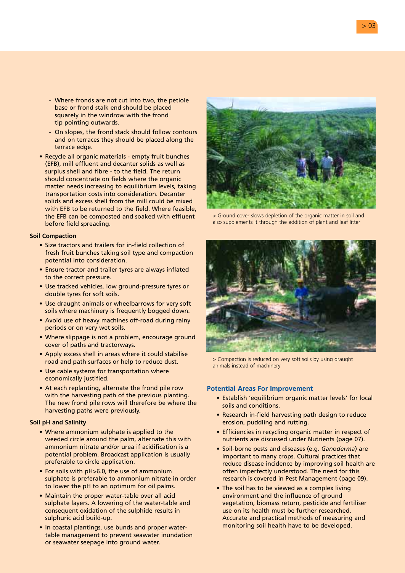- Where fronds are not cut into two, the petiole base or frond stalk end should be placed squarely in the windrow with the frond tip pointing outwards.
- On slopes, the frond stack should follow contours and on terraces they should be placed along the terrace edge.
- Recycle all organic materials empty fruit bunches (EFB), mill effluent and decanter solids as well as surplus shell and fibre - to the field. The return should concentrate on fields where the organic matter needs increasing to equilibrium levels, taking transportation costs into consideration. Decanter solids and excess shell from the mill could be mixed with EFB to be returned to the field. Where feasible, the EFB can be composted and soaked with effluent before field spreading.

#### **Soil Compaction**

- Size tractors and trailers for in-field collection of fresh fruit bunches taking soil type and compaction potential into consideration.
- Ensure tractor and trailer tyres are always inflated to the correct pressure.
- Use tracked vehicles, low ground-pressure tyres or double tyres for soft soils.
- Use draught animals or wheelbarrows for very soft soils where machinery is frequently bogged down.
- Avoid use of heavy machines off-road during rainy periods or on very wet soils.
- Where slippage is not a problem, encourage ground cover of paths and tractorways.
- Apply excess shell in areas where it could stabilise road and path surfaces or help to reduce dust.
- Use cable systems for transportation where economically justified.
- At each replanting, alternate the frond pile row with the harvesting path of the previous planting. The new frond pile rows will therefore be where the harvesting paths were previously.

#### **Soil pH and Salinity**

- Where ammonium sulphate is applied to the weeded circle around the palm, alternate this with ammonium nitrate and/or urea if acidification is a potential problem. Broadcast application is usually preferable to circle application.
- For soils with pH>6.0, the use of ammonium sulphate is preferable to ammonium nitrate in order to lower the pH to an optimum for oil palms.
- Maintain the proper water-table over all acid sulphate layers. A lowering of the water-table and consequent oxidation of the sulphide results in sulphuric acid build-up.
- In coastal plantings, use bunds and proper watertable management to prevent seawater inundation or seawater seepage into ground water.



> Ground cover slows depletion of the organic matter in soil and also supplements it through the addition of plant and leaf litter



> Compaction is reduced on very soft soils by using draught animals instead of machinery

- Establish 'equilibrium organic matter levels' for local soils and conditions.
- Research in-field harvesting path design to reduce erosion, puddling and rutting.
- Efficiencies in recycling organic matter in respect of nutrients are discussed under Nutrients (page 07).
- Soil-borne pests and diseases (e.g. *Ganoderma*) are important to many crops. Cultural practices that reduce disease incidence by improving soil health are often imperfectly understood. The need for this research is covered in Pest Management (page 09).
- The soil has to be viewed as a complex living environment and the influence of ground vegetation, biomass return, pesticide and fertiliser use on its health must be further researched. Accurate and practical methods of measuring and monitoring soil health have to be developed.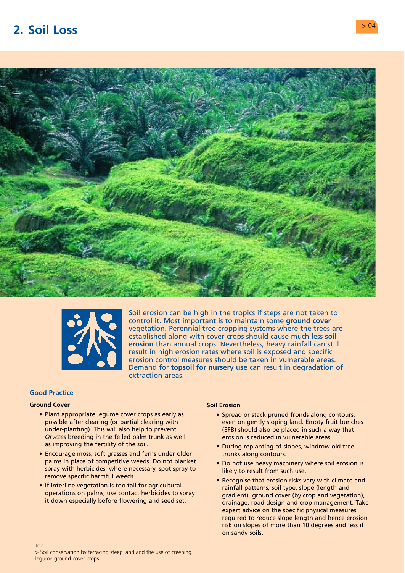# <span id="page-5-0"></span>**2. Soil Loss** > 04





Soil erosion can be high in the tropics if steps are not taken to control it. Most important is to maintain some **ground cover**  vegetation. Perennial tree cropping systems where the trees are established along with cover crops should cause much less **soil erosion** than annual crops. Nevertheless, heavy rainfall can still result in high erosion rates where soil is exposed and specific erosion control measures should be taken in vulnerable areas. Demand for **topsoil for nursery use** can result in degradation of extraction areas.

# **Good Practice**

### **Ground Cover**

- Plant appropriate legume cover crops as early as possible after clearing (or partial clearing with under-planting). This will also help to prevent *Oryctes* breeding in the felled palm trunk as well as improving the fertility of the soil.
- Encourage moss, soft grasses and ferns under older palms in place of competitive weeds. Do not blanket spray with herbicides; where necessary, spot spray to remove specific harmful weeds.
- If interline vegetation is too tall for agricultural operations on palms, use contact herbicides to spray it down especially before flowering and seed set.

### **Soil Erosion**

- Spread or stack pruned fronds along contours, even on gently sloping land. Empty fruit bunches (EFB) should also be placed in such a way that erosion is reduced in vulnerable areas.
- During replanting of slopes, windrow old tree trunks along contours.
- Do not use heavy machinery where soil erosion is likely to result from such use.
- Recognise that erosion risks vary with climate and rainfall patterns, soil type, slope (length and gradient), ground cover (by crop and vegetation), drainage, road design and crop management. Take expert advice on the specific physical measures required to reduce slope length and hence erosion risk on slopes of more than 10 degrees and less if on sandy soils.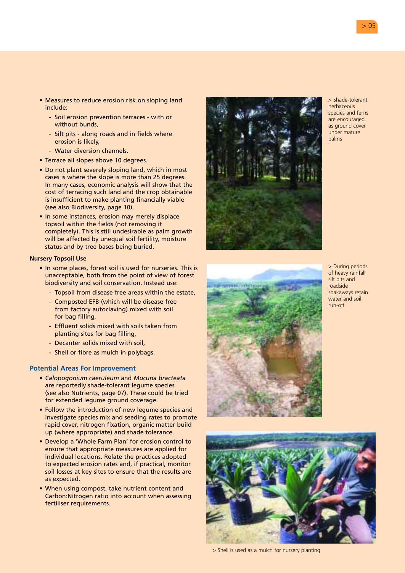- Measures to reduce erosion risk on sloping land include:
	- Soil erosion prevention terraces with or without bunds.
	- Silt pits along roads and in fields where erosion is likely,
	- Water diversion channels.
- Terrace all slopes above 10 degrees.
- Do not plant severely sloping land, which in most cases is where the slope is more than 25 degrees. In many cases, economic analysis will show that the cost of terracing such land and the crop obtainable is insufficient to make planting financially viable (see also Biodiversity, page 10).
- In some instances, erosion may merely displace topsoil within the fields (not removing it completely). This is still undesirable as palm growth will be affected by unequal soil fertility, moisture status and by tree bases being buried.

### **Nursery Topsoil Use**

- In some places, forest soil is used for nurseries. This is unacceptable, both from the point of view of forest biodiversity and soil conservation. Instead use:
	- Topsoil from disease free areas within the estate,
	- Composted EFB (which will be disease free from factory autoclaving) mixed with soil for bag filling,
	- Effluent solids mixed with soils taken from planting sites for bag filling,
	- Decanter solids mixed with soil,
	- Shell or fibre as mulch in polybags.

# **Potential Areas For Improvement**

- *Calopogonium caeruleum* and *Mucuna bracteata*  are reportedly shade-tolerant legume species (see also Nutrients, page 07). These could be tried for extended legume ground coverage.
- Follow the introduction of new legume species and investigate species mix and seeding rates to promote rapid cover, nitrogen fixation, organic matter build up (where appropriate) and shade tolerance.
- Develop a 'Whole Farm Plan' for erosion control to ensure that appropriate measures are applied for individual locations. Relate the practices adopted to expected erosion rates and, if practical, monitor soil losses at key sites to ensure that the results are as expected.
- When using compost, take nutrient content and Carbon:Nitrogen ratio into account when assessing fertiliser requirements.



> Shade-tolerant herhaceous species and ferns are encouraged as ground cover under mature palms



> During periods of heavy rainfall silt pits and roadside soakaways retain water and soil run-off



> Shell is used as a mulch for nursery planting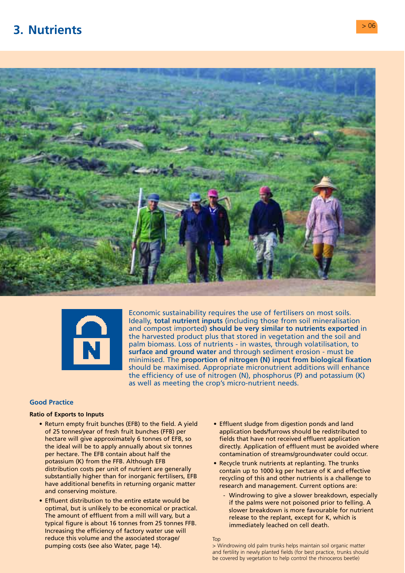# <span id="page-7-0"></span>**3. Nutrients** > 06





Economic sustainability requires the use of fertilisers on most soils. Ideally, **total nutrient inputs** (including those from soil mineralisation and compost imported) **should be very similar to nutrients exported** in the harvested product plus that stored in vegetation and the soil and palm biomass. Loss of nutrients - in wastes, through volatilisation, to **surface and ground water** and through sediment erosion - must be minimised. The **proportion of nitrogen (N) input from biological fixation**  should be maximised. Appropriate micronutrient additions will enhance the efficiency of use of nitrogen (N), phosphorus (P) and potassium (K) as well as meeting the crop's micro-nutrient needs.

# **Good Practice**

#### **Ratio of Exports to Inputs**

- Return empty fruit bunches (EFB) to the field. A yield of 25 tonnes/year of fresh fruit bunches (FFB) per hectare will give approximately 6 tonnes of EFB, so the ideal will be to apply annually about six tonnes per hectare. The EFB contain about half the potassium (K) from the FFB. Although EFB distribution costs per unit of nutrient are generally substantially higher than for inorganic fertilisers, EFB have additional benefits in returning organic matter and conserving moisture.
- Effluent distribution to the entire estate would be optimal, but is unlikely to be economical or practical. The amount of effluent from a mill will vary, but a typical figure is about 16 tonnes from 25 tonnes FFB. Increasing the efficiency of factory water use will reduce this volume and the associated storage/ pumping costs (see also Water, page 14).
- Effluent sludge from digestion ponds and land application beds/furrows should be redistributed to fields that have not received effluent application directly. Application of effluent must be avoided where contamination of streams/groundwater could occur.
- Recycle trunk nutrients at replanting. The trunks contain up to 1000 kg per hectare of K and effective recycling of this and other nutrients is a challenge to research and management. Current options are:
	- Windrowing to give a slower breakdown, especially if the palms were not poisoned prior to felling. A slower breakdown is more favourable for nutrient release to the replant, except for K, which is immediately leached on cell death.

Top

> Windrowing old palm trunks helps maintain soil organic matter and fertility in newly planted fields (for best practice, trunks should be covered by vegetation to help control the rhinoceros beetle)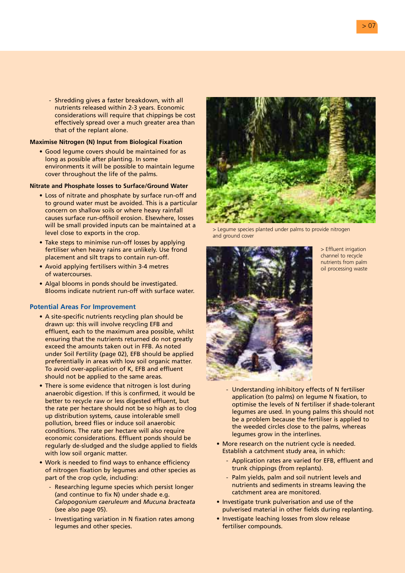- Shredding gives a faster breakdown, with all nutrients released within 2-3 years. Economic considerations will require that chippings be cost effectively spread over a much greater area than that of the replant alone.

#### **Maximise Nitrogen (N) Input from Biological Fixation**

• Good legume covers should be maintained for as long as possible after planting. In some environments it will be possible to maintain legume cover throughout the life of the palms.

#### **Nitrate and Phosphate losses to Surface/Ground Water**

- Loss of nitrate and phosphate by surface run-off and to ground water must be avoided. This is a particular concern on shallow soils or where heavy rainfall causes surface run-off/soil erosion. Elsewhere, losses will be small provided inputs can be maintained at a level close to exports in the crop.
- Take steps to minimise run-off losses by applying fertiliser when heavy rains are unlikely. Use frond placement and silt traps to contain run-off.
- Avoid applying fertilisers within 3-4 metres of watercourses.
- Algal blooms in ponds should be investigated. Blooms indicate nutrient run-off with surface water.

- A site-specific nutrients recycling plan should be drawn up: this will involve recycling EFB and effluent, each to the maximum area possible, whilst ensuring that the nutrients returned do not greatly exceed the amounts taken out in FFB. As noted under Soil Fertility (page 02), EFB should be applied preferentially in areas with low soil organic matter. To avoid over-application of K, EFB and effluent should not be applied to the same areas.
- There is some evidence that nitrogen is lost during anaerobic digestion. If this is confirmed, it would be better to recycle raw or less digested effluent, but the rate per hectare should not be so high as to clog up distribution systems, cause intolerable smell pollution, breed flies or induce soil anaerobic conditions. The rate per hectare will also require economic considerations. Effluent ponds should be regularly de-sludged and the sludge applied to fields with low soil organic matter.
- Work is needed to find ways to enhance efficiency of nitrogen fixation by legumes and other species as part of the crop cycle, including:
	- Researching legume species which persist longer (and continue to fix N) under shade e.g. *Calopogonium caeruleum* and *Mucuna bracteata*  (see also page 05).
	- Investigating variation in N fixation rates among legumes and other species.



> Legume species planted under palms to provide nitrogen and ground cover



> Effluent irrigation channel to recycle nutrients from palm oil processing waste

- Understanding inhibitory effects of N fertiliser application (to palms) on legume N fixation, to optimise the levels of N fertiliser if shade-tolerant legumes are used. In young palms this should not be a problem because the fertiliser is applied to the weeded circles close to the palms, whereas legumes grow in the interlines.
- More research on the nutrient cycle is needed. Establish a catchment study area, in which:
	- Application rates are varied for EFB, effluent and trunk chippings (from replants).
	- Palm yields, palm and soil nutrient levels and nutrients and sediments in streams leaving the catchment area are monitored.
- Investigate trunk pulverisation and use of the pulverised material in other fields during replanting.
- Investigate leaching losses from slow release fertiliser compounds.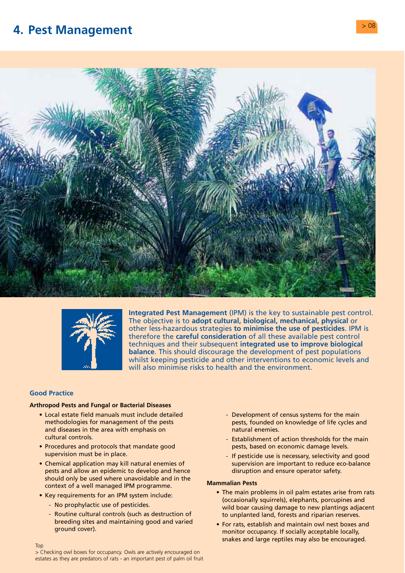# <span id="page-9-0"></span>**4. Pest Management**  $> 08$



![](_page_9_Picture_2.jpeg)

**Integrated Pest Management** (IPM) is the key to sustainable pest control. The objective is to **adopt cultural, biological, mechanical, physical** or other less-hazardous strategies **to minimise the use of pesticides**. IPM is therefore the **careful consideration** of all these available pest control techniques and their subsequent **integrated use to improve biological balance**. This should discourage the development of pest populations whilst keeping pesticide and other interventions to economic levels and will also minimise risks to health and the environment.

# **Good Practice**

### **Arthropod Pests and Fungal or Bacterial Diseases**

- Local estate field manuals must include detailed Development of census systems for the main and diseases in the area with emphasis on natural enemies. cultural controls. The main cultural controls.
- supervision must be in place. The supervision must be in place.
- Chemical application may kill natural enemies of supervision are important to reduce eco-balance pests and allow an epidemic to develop and hence disruption and ensure operator safety. should only be used where unavoidable and in the<br>
context of a well managed IPM programme.<br> **Mammalian Pests**<br>
• The main problems in oil palm estates arise from rats<br> **Kay requirements for an IPM overm include:**
- -
	- Routine cultural controls (such as destruction of the unplanted land, forests and riparian reserves.<br>
	breeding sites and maintaining good and varied<br>
	 For rats, establish and maintain owl pest boxes
- methodologies for management of the pests pests pests, founded on knowledge of life cycles and
- Procedures and protocols that mandate good pests, based on economic damage levels.
	-

- Key requirements for an IPM system include:<br>• The main problems in oil palm estates arise from rats<br>• No prophylactic use of pesticides.<br>• Routine cultural controls (such as destruction of the unplanted land, forests and
	- breeding sites and maintaining good and varied For rats, establish and maintain owl nest boxes and ground cover).<br>monitor occupancy. If socially acceptable locally, snakes and large reptiles may also be encouraged.

> Checking owl boxes for occupancy. Owls are actively encouraged on estates as they are predators of rats - an important pest of palm oil fruit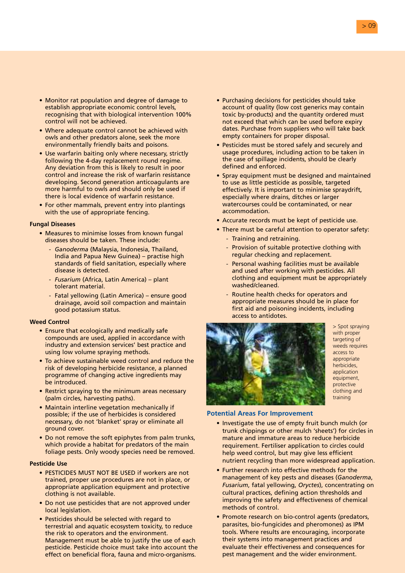- Monitor rat population and degree of damage to establish appropriate economic control levels, recognising that with biological intervention 100% control will not be achieved.
- Where adequate control cannot be achieved with owls and other predators alone, seek the more environmentally friendly baits and poisons.
- Use warfarin baiting only where necessary, strictly following the 4-day replacement round regime. Any deviation from this is likely to result in poor control and increase the risk of warfarin resistance developing. Second generation anticoagulants are more harmful to owls and should only be used if there is local evidence of warfarin resistance.
- For other mammals, prevent entry into plantings with the use of appropriate fencing.

#### **Fungal Diseases**

- Measures to minimise losses from known fungal diseases should be taken. These include:
	- *Ganoderma* (Malaysia, Indonesia, Thailand, India and Papua New Guinea) – practise high standards of field sanitation, especially where disease is detected.
	- *Fusarium* (Africa, Latin America) plant tolerant material.
	- Fatal yellowing (Latin America) ensure good drainage, avoid soil compaction and maintain good potassium status.

#### **Weed Control**

- Ensure that ecologically and medically safe compounds are used, applied in accordance with industry and extension services' best practice and using low volume spraying methods.
- To achieve sustainable weed control and reduce the risk of developing herbicide resistance, a planned programme of changing active ingredients may be introduced.
- Restrict spraying to the minimum areas necessary (palm circles, harvesting paths).
- Maintain interline vegetation mechanically if possible; if the use of herbicides is considered necessary, do not 'blanket' spray or eliminate all ground cover.
- Do not remove the soft epiphytes from palm trunks, which provide a habitat for predators of the main foliage pests. Only woody species need be removed.

#### **Pesticide Use**

- PESTICIDES MUST NOT BE USED if workers are not trained, proper use procedures are not in place, or appropriate application equipment and protective clothing is not available.
- Do not use pesticides that are not approved under local legislation.
- Pesticides should be selected with regard to terrestrial and aquatic ecosystem toxicity, to reduce the risk to operators and the environment. Management must be able to justify the use of each pesticide. Pesticide choice must take into account the effect on beneficial flora, fauna and micro-organisms.
- Purchasing decisions for pesticides should take account of quality (low cost generics may contain toxic by-products) and the quantity ordered must not exceed that which can be used before expiry dates. Purchase from suppliers who will take back empty containers for proper disposal.
- Pesticides must be stored safely and securely and usage procedures, including action to be taken in the case of spillage incidents, should be clearly defined and enforced.
- Spray equipment must be designed and maintained to use as little pesticide as possible, targeted effectively. It is important to minimise spraydrift, especially where drains, ditches or larger watercourses could be contaminated, or near accommodation.
- Accurate records must be kept of pesticide use.
- There must be careful attention to operator safety:
	- Training and retraining.
	- Provision of suitable protective clothing with regular checking and replacement.
	- Personal washing facilities must be available and used after working with pesticides. All clothing and equipment must be appropriately washed/cleaned.
	- Routine health checks for operators and appropriate measures should be in place for first aid and poisoning incidents, including access to antidotes.

![](_page_10_Picture_28.jpeg)

> Spot spraying with proper targeting of weeds requires access to appropriate herbicides, application equipment, protective clothing and training

- Investigate the use of empty fruit bunch mulch (or trunk chippings or other mulch 'sheets') for circles in mature and immature areas to reduce herbicide requirement. Fertiliser application to circles could help weed control, but may give less efficient nutrient recycling than more widespread application.
- Further research into effective methods for the management of key pests and diseases (*Ganoderma*, *Fusarium*, fatal yellowing, *Oryctes*), concentrating on cultural practices, defining action thresholds and improving the safety and effectiveness of chemical methods of control.
- Promote research on bio-control agents (predators, parasites, bio-fungicides and pheromones) as IPM tools. Where results are encouraging, incorporate their systems into management practices and evaluate their effectiveness and consequences for pest management and the wider environment.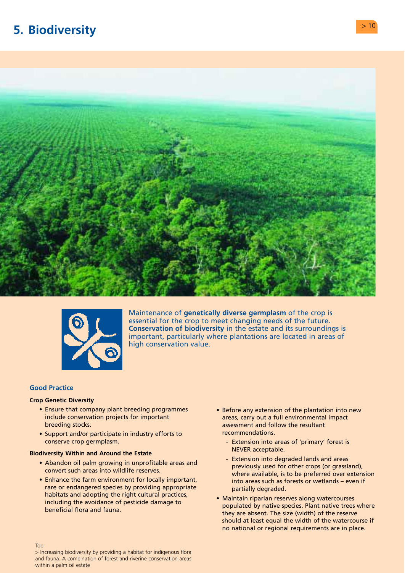# <span id="page-11-0"></span>**5. Biodiversity CONSIDERED ASSESSED ASSOCIATES**

![](_page_11_Picture_1.jpeg)

![](_page_11_Picture_2.jpeg)

Maintenance of **genetically diverse germplasm** of the crop is essential for the crop to meet changing needs of the future. **Conservation of biodiversity** in the estate and its surroundings is important, particularly where plantations are located in areas of high conservation value.

#### **Good Practice**

Top

#### **Crop Genetic Diversity**

- Ensure that company plant breeding programmes include conservation projects for important breeding stocks.
- Support and/or participate in industry efforts to conserve crop germplasm.

### **Biodiversity Within and Around the Estate**

- Abandon oil palm growing in unprofitable areas and convert such areas into wildlife reserves.
- Enhance the farm environment for locally important, rare or endangered species by providing appropriate habitats and adopting the right cultural practices, including the avoidance of pesticide damage to beneficial flora and fauna.
- Before any extension of the plantation into new areas, carry out a full environmental impact assessment and follow the resultant recommendations.
	- Extension into areas of 'primary' forest is NEVER acceptable.
	- Extension into degraded lands and areas previously used for other crops (or grassland), where available, is to be preferred over extension into areas such as forests or wetlands – even if partially degraded.
- Maintain riparian reserves along watercourses populated by native species. Plant native trees where they are absent. The size (width) of the reserve should at least equal the width of the watercourse if no national or regional requirements are in place.

> Increasing biodiversity by providing a habitat for indigenous flora and fauna. A combination of forest and riverine conservation areas within a palm oil estate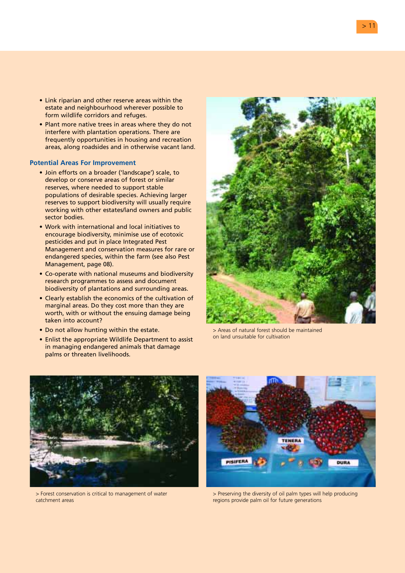- Link riparian and other reserve areas within the estate and neighbourhood wherever possible to form wildlife corridors and refuges.
- Plant more native trees in areas where they do not interfere with plantation operations. There are frequently opportunities in housing and recreation areas, along roadsides and in otherwise vacant land.

- Join efforts on a broader ('landscape') scale, to develop or conserve areas of forest or similar reserves, where needed to support stable populations of desirable species. Achieving larger reserves to support biodiversity will usually require working with other estates/land owners and public sector bodies.
- Work with international and local initiatives to encourage biodiversity, minimise use of ecotoxic pesticides and put in place Integrated Pest Management and conservation measures for rare or endangered species, within the farm (see also Pest Management, page 08).
- Co-operate with national museums and biodiversity research programmes to assess and document biodiversity of plantations and surrounding areas.
- Clearly establish the economics of the cultivation of marginal areas. Do they cost more than they are worth, with or without the ensuing damage being taken into account?
- Do not allow hunting within the estate.
- Enlist the appropriate Wildlife Department to assist in managing endangered animals that damage palms or threaten livelihoods.

![](_page_12_Picture_9.jpeg)

> Areas of natural forest should be maintained on land unsuitable for cultivation

![](_page_12_Picture_11.jpeg)

> Forest conservation is critical to management of water catchment areas

![](_page_12_Picture_13.jpeg)

> Preserving the diversity of oil palm types will help producing regions provide palm oil for future generations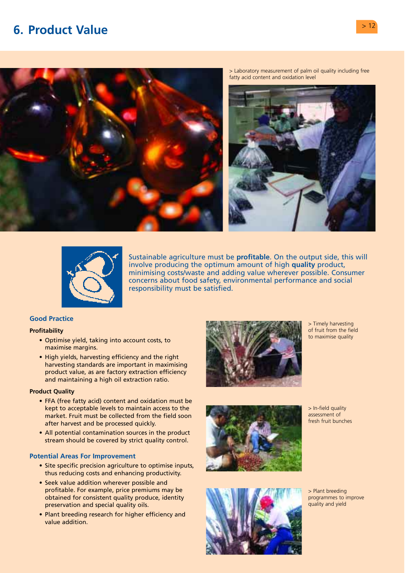# <span id="page-13-0"></span>**6. Product Value**  $>12$

![](_page_13_Picture_1.jpeg)

> Laboratory measurement of palm oil quality including free fatty acid content and oxidation level

![](_page_13_Picture_3.jpeg)

![](_page_13_Picture_4.jpeg)

Sustainable agriculture must be **profitable**. On the output side, this will involve producing the optimum amount of high **quality** product, minimising costs/waste and adding value wherever possible. Consumer concerns about food safety, environmental performance and social responsibility must be satisfied.

# **Good Practice**

#### **Profitability**

- Optimise yield, taking into account costs, to maximise margins.
- High yields, harvesting efficiency and the right harvesting standards are important in maximising product value, as are factory extraction efficiency and maintaining a high oil extraction ratio.

#### **Product Quality**

- FFA (free fatty acid) content and oxidation must be kept to acceptable levels to maintain access to the market. Fruit must be collected from the field soon after harvest and be processed quickly.
- All potential contamination sources in the product stream should be covered by strict quality control.

- Site specific precision agriculture to optimise inputs, thus reducing costs and enhancing productivity.
- Seek value addition wherever possible and profitable. For example, price premiums may be obtained for consistent quality produce, identity preservation and special quality oils.
- Plant breeding research for higher efficiency and value addition.

![](_page_13_Picture_17.jpeg)

> Timely harvesting of fruit from the field to maximise quality

![](_page_13_Picture_19.jpeg)

> In-field quality assessment of fresh fruit bunches

![](_page_13_Picture_21.jpeg)

> Plant breeding programmes to improve quality and yield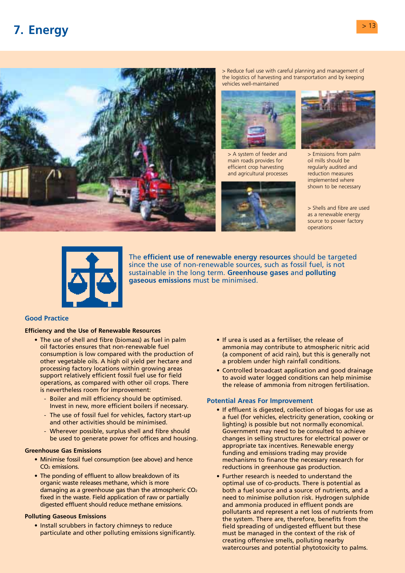# <span id="page-14-0"></span>**7. Energy** > <sup>13</sup>

![](_page_14_Picture_1.jpeg)

> Reduce fuel use with careful planning and management of the logistics of harvesting and transportation and by keeping vehicles well-maintained

![](_page_14_Picture_3.jpeg)

> A system of feeder and main roads provides for efficient crop harvesting and agricultural processes

![](_page_14_Picture_5.jpeg)

![](_page_14_Picture_6.jpeg)

> Emissions from palm oil mills should be regularly audited and reduction measures implemented where shown to be necessary

> Shells and fibre are used as a renewable energy source to power factory operations

![](_page_14_Picture_9.jpeg)

The **efficient use of renewable energy resources** should be targeted since the use of non-renewable sources, such as fossil fuel, is not sustainable in the long term. **Greenhouse gases** and **polluting gaseous emissions** must be minimised.

### **Good Practice**

# **Efficiency and the Use of Renewable Resources**

- The use of shell and fibre (biomass) as fuel in palm oil factories ensures that non-renewable fuel consumption is low compared with the production of other vegetable oils. A high oil yield per hectare and processing factory locations within growing areas support relatively efficient fossil fuel use for field operations, as compared with other oil crops. There is nevertheless room for improvement:
	- Boiler and mill efficiency should be optimised. Invest in new, more efficient boilers if necessary.
	- The use of fossil fuel for vehicles, factory start-up and other activities should be minimised.
	- Wherever possible, surplus shell and fibre should be used to generate power for offices and housing.

#### **Greenhouse Gas Emissions**

- Minimise fossil fuel consumption (see above) and hence CO2 emissions.
- The ponding of effluent to allow breakdown of its organic waste releases methane, which is more damaging as a greenhouse gas than the atmospheric  $CO<sub>2</sub>$ fixed in the waste. Field application of raw or partially digested effluent should reduce methane emissions.

#### **Polluting Gaseous Emissions**

• Install scrubbers in factory chimneys to reduce particulate and other polluting emissions significantly.

- If urea is used as a fertiliser, the release of ammonia may contribute to atmospheric nitric acid (a component of acid rain), but this is generally not a problem under high rainfall conditions.
- Controlled broadcast application and good drainage to avoid water logged conditions can help minimise the release of ammonia from nitrogen fertilisation.

- If effluent is digested, collection of biogas for use as a fuel (for vehicles, electricity generation, cooking or lighting) is possible but not normally economical. Government may need to be consulted to achieve changes in selling structures for electrical power or appropriate tax incentives. Renewable energy funding and emissions trading may provide mechanisms to finance the necessary research for reductions in greenhouse gas production.
- Further research is needed to understand the optimal use of co-products. There is potential as both a fuel source and a source of nutrients, and a need to minimise pollution risk. Hydrogen sulphide and ammonia produced in effluent ponds are pollutants and represent a net loss of nutrients from the system. There are, therefore, benefits from the field spreading of undigested effluent but these must be managed in the context of the risk of creating offensive smells, polluting nearby watercourses and potential phytotoxicity to palms.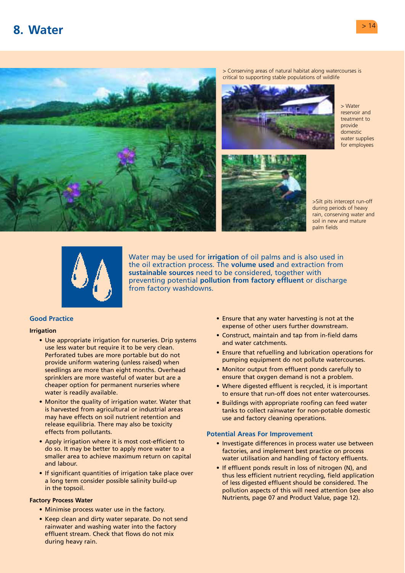# <span id="page-15-0"></span>**8. Water** > 14

![](_page_15_Picture_1.jpeg)

> Conserving areas of natural habitat along watercourses is critical to supporting stable populations of wildlife

![](_page_15_Picture_3.jpeg)

> Water reservoir and treatment to provide domestic water supplies for employees

>Silt pits intercept run-off during periods of heavy rain, conserving water and soil in new and mature palm fields

![](_page_15_Picture_6.jpeg)

Water may be used for **irrigation** of oil palms and is also used in the oil extraction process. The **volume used** and extraction from **sustainable sources** need to be considered, together with preventing potential **pollution from factory effluent** or discharge from factory washdowns.

# **Good Practice**

#### **Irrigation**

- Use appropriate irrigation for nurseries. Drip systems use less water but require it to be very clean. Perforated tubes are more portable but do not provide uniform watering (unless raised) when seedlings are more than eight months. Overhead sprinklers are more wasteful of water but are a cheaper option for permanent nurseries where water is readily available.
- Monitor the quality of irrigation water. Water that is harvested from agricultural or industrial areas may have effects on soil nutrient retention and release equilibria. There may also be toxicity effects from pollutants.
- Apply irrigation where it is most cost-efficient to do so. It may be better to apply more water to a smaller area to achieve maximum return on capital and labour.
- If significant quantities of irrigation take place over a long term consider possible salinity build-up in the topsoil.

### **Factory Process Water**

- Minimise process water use in the factory.
- Keep clean and dirty water separate. Do not send rainwater and washing water into the factory effluent stream. Check that flows do not mix during heavy rain.
- Ensure that any water harvesting is not at the expense of other users further downstream.
- Construct, maintain and tap from in-field dams and water catchments.
- Ensure that refuelling and lubrication operations for pumping equipment do not pollute watercourses.
- Monitor output from effluent ponds carefully to ensure that oxygen demand is not a problem.
- Where digested effluent is recycled, it is important to ensure that run-off does not enter watercourses.
- Buildings with appropriate roofing can feed water tanks to collect rainwater for non-potable domestic use and factory cleaning operations.

- Investigate differences in process water use between factories, and implement best practice on process water utilisation and handling of factory effluents.
- If effluent ponds result in loss of nitrogen (N), and thus less efficient nutrient recycling, field application of less digested effluent should be considered. The pollution aspects of this will need attention (see also Nutrients, page 07 and Product Value, page 12).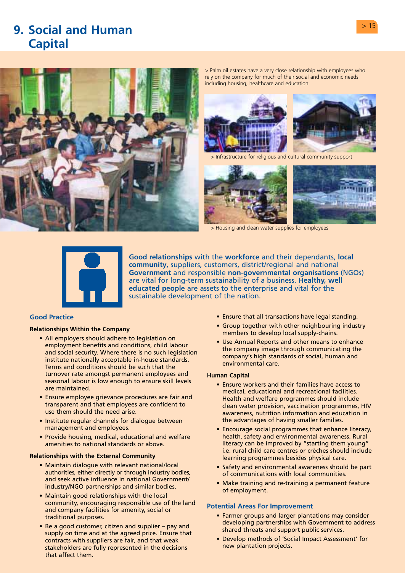![](_page_16_Picture_0.jpeg)

# <span id="page-16-0"></span>**9. Social and Human Capital**

![](_page_16_Picture_2.jpeg)

> Palm oil estates have a very close relationship with employees who rely on the company for much of their social and economic needs including housing, healthcare and education

![](_page_16_Picture_4.jpeg)

> Infrastructure for religious and cultural community support

![](_page_16_Picture_6.jpeg)

> Housing and clean water supplies for employees

![](_page_16_Picture_8.jpeg)

**Good relationships** with the **workforce** and their dependants, **local community**, suppliers, customers, district/regional and national **Government** and responsible **non-governmental organisations** (NGOs) are vital for long-term sustainability of a business. **Healthy, well educated people** are assets to the enterprise and vital for the sustainable development of the nation.

# **Good Practice**

#### **Relationships Within the Company**

- All employers should adhere to legislation on employment benefits and conditions, child labour and social security. Where there is no such legislation institute nationally acceptable in-house standards. Terms and conditions should be such that the turnover rate amongst permanent employees and seasonal labour is low enough to ensure skill levels are maintained.
- Ensure employee grievance procedures are fair and transparent and that employees are confident to use them should the need arise.
- Institute regular channels for dialogue between management and employees.
- Provide housing, medical, educational and welfare amenities to national standards or above.

#### **Relationships with the External Community**

- Maintain dialogue with relevant national/local authorities, either directly or through industry bodies, and seek active influence in national Government/ industry/NGO partnerships and similar bodies.
- Maintain good relationships with the local community, encouraging responsible use of the land and company facilities for amenity, social or traditional purposes.
- Be a good customer, citizen and supplier pay and supply on time and at the agreed price. Ensure that contracts with suppliers are fair, and that weak stakeholders are fully represented in the decisions that affect them.
- Ensure that all transactions have legal standing.
- Group together with other neighbouring industry members to develop local supply-chains.
- Use Annual Reports and other means to enhance the company image through communicating the company's high standards of social, human and environmental care.

#### **Human Capital**

- Ensure workers and their families have access to medical, educational and recreational facilities. Health and welfare programmes should include clean water provision, vaccination programmes, HIV awareness, nutrition information and education in the advantages of having smaller families.
- Encourage social programmes that enhance literacy, health, safety and environmental awareness. Rural literacy can be improved by "starting them young" i.e. rural child care centres or crèches should include learning programmes besides physical care.
- Safety and environmental awareness should be part of communications with local communities.
- Make training and re-training a permanent feature of employment.

- Farmer groups and larger plantations may consider developing partnerships with Government to address shared threats and support public services.
- Develop methods of 'Social Impact Assessment' for new plantation projects.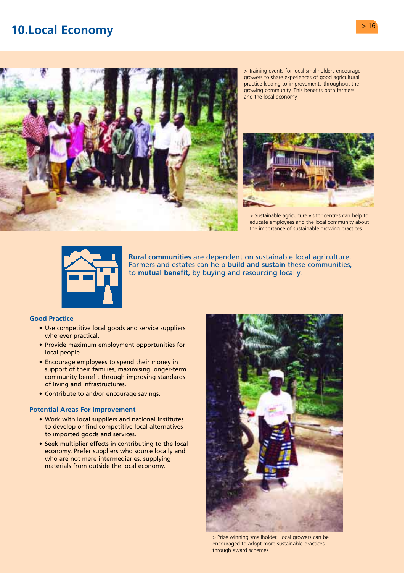# <span id="page-17-0"></span>**10.Local Economy** *Particular and <b>Particular Particular and Particular 2016*

![](_page_17_Picture_1.jpeg)

> Training events for local smallholders encourage growers to share experiences of good agricultural practice leading to improvements throughout the growing community. This benefits both farmers and the local economy

![](_page_17_Picture_3.jpeg)

> Sustainable agriculture visitor centres can help to educate employees and the local community about the importance of sustainable growing practices

![](_page_17_Picture_5.jpeg)

**Rural communities** are dependent on sustainable local agriculture. Farmers and estates can help **build and sustain** these communities, to **mutual benefit,** by buying and resourcing locally.

## **Good Practice**

- Use competitive local goods and service suppliers wherever practical.
- Provide maximum employment opportunities for local people.
- Encourage employees to spend their money in support of their families, maximising longer-term community benefit through improving standards of living and infrastructures.
- Contribute to and/or encourage savings.

- Work with local suppliers and national institutes to develop or find competitive local alternatives to imported goods and services.
- Seek multiplier effects in contributing to the local economy. Prefer suppliers who source locally and who are not mere intermediaries, supplying materials from outside the local economy.

![](_page_17_Picture_15.jpeg)

> Prize winning smallholder. Local growers can be encouraged to adopt more sustainable practices through award schemes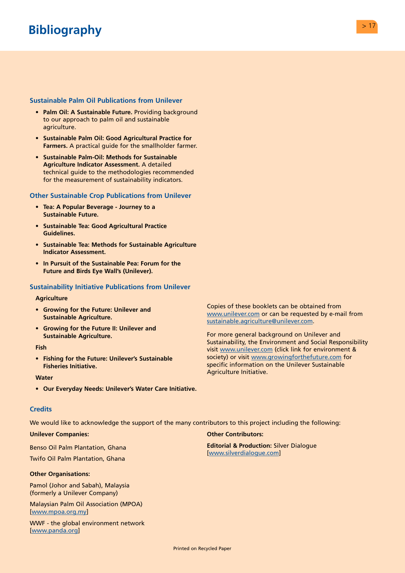# <span id="page-18-0"></span>**Sustainable Palm Oil Publications from Unilever**

- **Palm Oil: A Sustainable Future.** Providing background to our approach to palm oil and sustainable agriculture.
- **Sustainable Palm Oil: Good Agricultural Practice for Farmers.** A practical guide for the smallholder farmer.
- **Sustainable Palm-Oil: Methods for Sustainable Agriculture Indicator Assessment.** A detailed technical guide to the methodologies recommended for the measurement of sustainability indicators.

# **Other Sustainable Crop Publications from Unilever**

- **Tea: A Popular Beverage Journey to a Sustainable Future.**
- **Sustainable Tea: Good Agricultural Practice Guidelines.**
- **Sustainable Tea: Methods for Sustainable Agriculture Indicator Assessment.**
- **In Pursuit of the Sustainable Pea: Forum for the Future and Birds Eye Wall's (Unilever).**

# **Sustainability Initiative Publications from Unilever**

#### **Agriculture**

- **Growing for the Future: Unilever and Sustainable Agriculture.**
- **Growing for the Future II: Unilever and Sustainable Agriculture.**

#### **Fish**

**• Fishing for the Future: Unilever's Sustainable Fisheries Initiative.** 

#### **Water**

**• Our Everyday Needs: Unilever's Water Care Initiative.** 

#### **Credits**

We would like to acknowledge the support of the many contributors to this project including the following:

### **Unilever Companies:**

Benso Oil Palm Plantation, Ghana

Twifo Oil Palm Plantation, Ghana

#### **Other Organisations:**

Pamol (Johor and Sabah), Malaysia (formerly a Unilever Company)

Malaysian Palm Oil Association (MPOA) [\[www.mpoa.org.my\]](www.mpoa.org.my) 

[WWF - the global envi](www.panda.org)ronment network [www.panda.org]

Agriculture Initiative.

# **Other Contributors:**

**Editorial & Production:** Silver Dialogue [\[www.silverdialogue.com\]](www.silverdialogue.com) 

Copies of these booklets can be obtained from [www.unilever.com o](www.unilever.com)r can be requested by e-mail from

For more general background on Unilever and

Sustainability, the Environment and Social Responsibility visi[t www.unilever.com \(](www.unilever.com)click link for environment & society) or visi[t www.growingforthefuture.com fo](www.growingforthefuture.com)r specific information on the Unilever Sustainable

[sustainable.agriculture@unilever.com.](mailto:sustainable.agriculture@unilever.com)